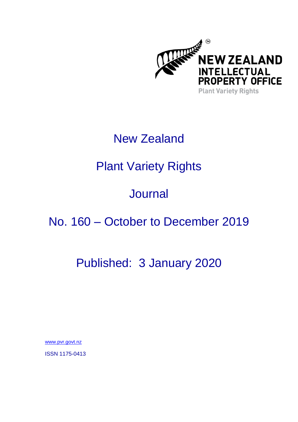

# New Zealand

# Plant Variety Rights

# **Journal**

## No. 160 – October to December 2019

## Published: 3 January 2020

[www.pvr.govt.nz](http://www.pvr.govt.nz/)

ISSN 1175-0413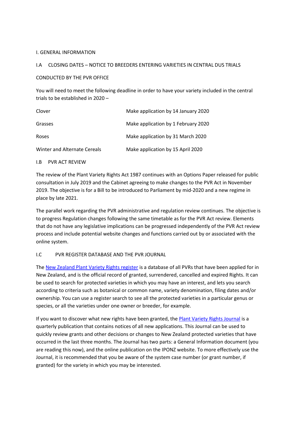#### I. GENERAL INFORMATION

#### I.A CLOSING DATES – NOTICE TO BREEDERS ENTERING VARIETIES IN CENTRAL DUS TRIALS

#### CONDUCTED BY THE PVR OFFICE

You will need to meet the following deadline in order to have your variety included in the central trials to be established in 2020 –

| Clover                       | Make application by 14 January 2020 |
|------------------------------|-------------------------------------|
| Grasses                      | Make application by 1 February 2020 |
| <b>Roses</b>                 | Make application by 31 March 2020   |
| Winter and Alternate Cereals | Make application by 15 April 2020   |

#### I.B PVR ACT REVIEW

The review of the Plant Variety Rights Act 1987 continues with an Options Paper released for public consultation in July 2019 and the Cabinet agreeing to make changes to the PVR Act in November 2019. The objective is for a Bill to be introduced to Parliament by mid-2020 and a new regime in place by late 2021.

The parallel work regarding the PVR administrative and regulation review continues. The objective is to progress Regulation changes following the same timetable as for the PVR Act review. Elements that do not have any legislative implications can be progressed independently of the PVR Act review process and include potential website changes and functions carried out by or associated with the online system.

#### I.C PVR REGISTER DATABASE AND THE PVR JOURNAL

The [New Zealand Plant Variety Rights register](https://app.iponz.govt.nz/app/Extra/Default.aspx?op=EXTRA_pvr_qbe&fcoOp=EXTRA__Default&directAccess=true) is a database of all PVRs that have been applied for in New Zealand, and is the official record of granted, surrendered, cancelled and expired Rights. It can be used to search for protected varieties in which you may have an interest, and lets you search according to criteria such as botanical or common name, variety denomination, filing dates and/or ownership. You can use a register search to see all the protected varieties in a particular genus or species, or all the varieties under one owner or breeder, for example.

If you want to discover what new rights have been granted, th[e Plant Variety Rights Journal](https://app.iponz.govt.nz/app/Extra/Default.aspx?op=EXTRA_Activity_qbe&fcoOp=EXTRA__Default) is a quarterly publication that contains notices of all new applications. This Journal can be used to quickly review grants and other decisions or changes to New Zealand protected varieties that have occurred in the last three months. The Journal has two parts: a General Information document (you are reading this now), and the online publication on the IPONZ website. To more effectively use the Journal, it is recommended that you be aware of the system case number (or grant number, if granted) for the variety in which you may be interested.